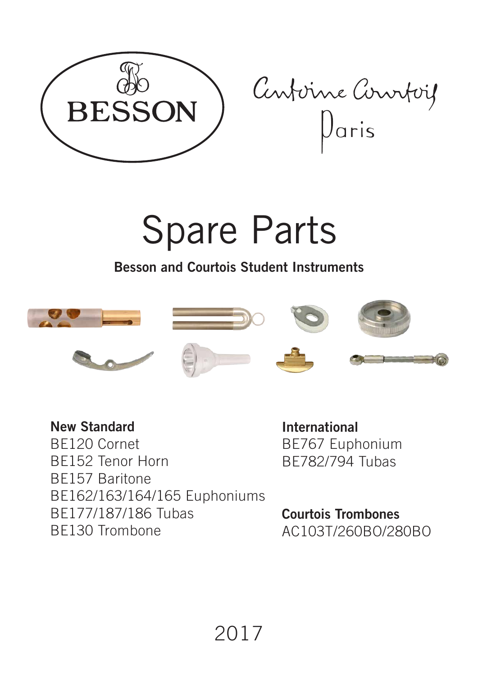

Centerne Courtois

# Spare Parts

**Besson and Courtois Student Instruments**



**New Standard**  BE120 Cornet BE152 Tenor Horn BE157 Baritone BE162/163/164/165 Euphoniums BE177/187/186 Tubas BE130 Trombone

**International** BE767 Euphonium BE782/794 Tubas

**Courtois Trombones**  AC103T/260BO/280BO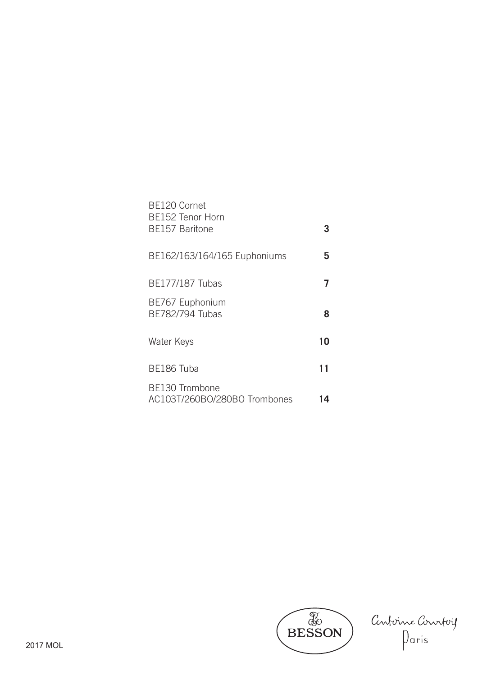| BE120 Cornet<br><b>BE152 Tenor Horn</b>               |    |
|-------------------------------------------------------|----|
| <b>BE157 Baritone</b>                                 |    |
| BE162/163/164/165 Euphoniums                          | 5  |
| <b>BE177/187 Tubas</b><br>BE767 Euphonium             |    |
| BE782/794 Tubas                                       | 8  |
| Water Keys                                            | 10 |
| BE186 Tuba                                            | 11 |
| <b>BE130 Trombone</b><br>AC103T/260BO/280BO Trombones | 4  |



Conforne Constag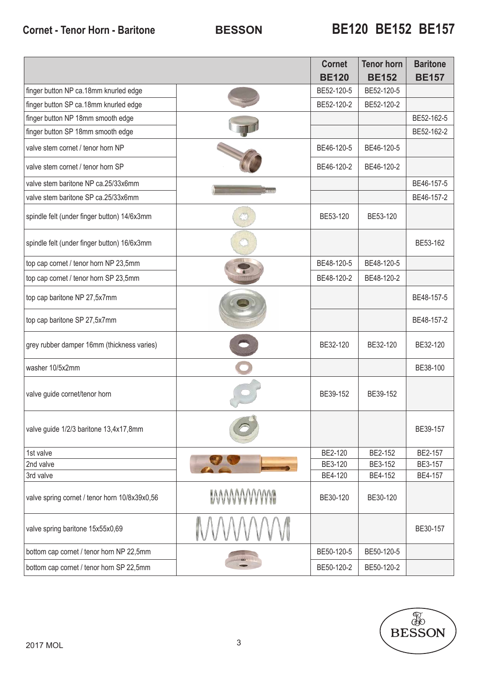|                                               |               | <b>Cornet</b><br><b>BE120</b> | <b>Tenor horn</b><br><b>BE152</b> | <b>Baritone</b><br><b>BE157</b> |
|-----------------------------------------------|---------------|-------------------------------|-----------------------------------|---------------------------------|
| finger button NP ca.18mm knurled edge         |               | BE52-120-5                    | BE52-120-5                        |                                 |
| finger button SP ca.18mm knurled edge         |               | BE52-120-2                    | BE52-120-2                        |                                 |
| finger button NP 18mm smooth edge             |               |                               |                                   | BE52-162-5                      |
| finger button SP 18mm smooth edge             |               |                               |                                   | BE52-162-2                      |
| valve stem cornet / tenor horn NP             |               | BE46-120-5                    | BE46-120-5                        |                                 |
| valve stem cornet / tenor horn SP             |               | BE46-120-2                    | BE46-120-2                        |                                 |
| valve stem baritone NP ca.25/33x6mm           |               |                               |                                   | BE46-157-5                      |
| valve stem baritone SP ca.25/33x6mm           |               |                               |                                   | BE46-157-2                      |
| spindle felt (under finger button) 14/6x3mm   |               | BE53-120                      | BE53-120                          |                                 |
| spindle felt (under finger button) 16/6x3mm   |               |                               |                                   | BE53-162                        |
| top cap cornet / tenor horn NP 23,5mm         |               | BE48-120-5                    | BE48-120-5                        |                                 |
| top cap cornet / tenor horn SP 23,5mm         |               | BE48-120-2                    | BE48-120-2                        |                                 |
| top cap baritone NP 27,5x7mm                  |               |                               |                                   | BE48-157-5                      |
| top cap baritone SP 27,5x7mm                  |               |                               |                                   | BE48-157-2                      |
| grey rubber damper 16mm (thickness varies)    |               | BE32-120                      | BE32-120                          | BE32-120                        |
| washer 10/5x2mm                               |               |                               |                                   | BE38-100                        |
| valve guide cornet/tenor horn                 |               | BE39-152                      | BE39-152                          |                                 |
| valve guide 1/2/3 baritone 13,4x17,8mm        |               |                               |                                   | BE39-157                        |
| 1st valve                                     |               | BE2-120                       | BE2-152                           | BE2-157                         |
| 2nd valve                                     |               | BE3-120                       | BE3-152                           | BE3-157                         |
| 3rd valve                                     |               | BE4-120                       | BE4-152                           | BE4-157                         |
| valve spring cornet / tenor horn 10/8x39x0,56 | <b>MWWWWW</b> | BE30-120                      | BE30-120                          |                                 |
| valve spring baritone 15x55x0,69              |               |                               |                                   | BE30-157                        |
| bottom cap cornet / tenor horn NP 22,5mm      |               | BE50-120-5                    | BE50-120-5                        |                                 |
| bottom cap cornet / tenor horn SP 22,5mm      |               | BE50-120-2                    | BE50-120-2                        |                                 |

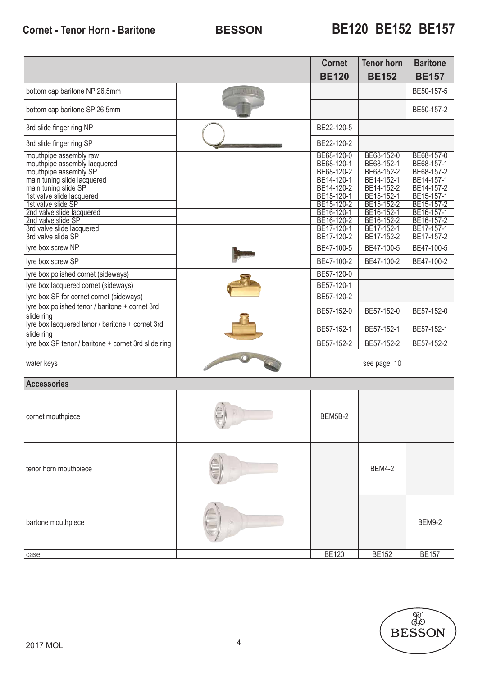|                                                                                                                            | <b>Cornet</b>                                                      | <b>Tenor horn</b>                                                  | <b>Baritone</b>                                                    |
|----------------------------------------------------------------------------------------------------------------------------|--------------------------------------------------------------------|--------------------------------------------------------------------|--------------------------------------------------------------------|
|                                                                                                                            | <b>BE120</b>                                                       | <b>BE152</b>                                                       | <b>BE157</b>                                                       |
| bottom cap baritone NP 26,5mm                                                                                              |                                                                    |                                                                    | BE50-157-5                                                         |
| bottom cap baritone SP 26,5mm                                                                                              |                                                                    |                                                                    | BE50-157-2                                                         |
| 3rd slide finger ring NP                                                                                                   | BE22-120-5                                                         |                                                                    |                                                                    |
| 3rd slide finger ring SP                                                                                                   | BE22-120-2                                                         |                                                                    |                                                                    |
| mouthpipe assembly raw<br>mouthpipe assembly lacquered<br>mouthpipe assembly SP<br>main tuning slide lacquered             | BE68-120-0<br>BE68-120-1<br>BE68-120-2<br>BE14-120-1               | BE68-152-0<br>BE68-152-1<br>BE68-152-2<br>BE14-152-1               | BE68-157-0<br>BE68-157-1<br>BE68-157-2<br>BE14-157-1               |
| main tuning slide SP<br>1st valve slide lacquered<br>1st valve slide SP<br>2nd valve slide lacquered<br>2nd valve slide SP | BE14-120-2<br>BE15-120-1<br>BE15-120-2<br>BE16-120-1<br>BE16-120-2 | BE14-152-2<br>BE15-152-1<br>BE15-152-2<br>BE16-152-1<br>BE16-152-2 | BE14-157-2<br>BE15-157-1<br>BE15-157-2<br>BE16-157-1<br>BE16-157-2 |
| 3rd valve slide lacquered<br>3rd valve slide SP                                                                            | BE17-120-1<br>BE17-120-2                                           | BE17-152-1<br>BE17-152-2                                           | BE17-157-1<br>BE17-157-2                                           |
| lyre box screw NP                                                                                                          | BE47-100-5                                                         | BE47-100-5                                                         | BE47-100-5                                                         |
| lyre box screw SP                                                                                                          | BE47-100-2                                                         | BE47-100-2                                                         | BE47-100-2                                                         |
| lyre box polished cornet (sideways)                                                                                        | BE57-120-0                                                         |                                                                    |                                                                    |
| lyre box lacquered cornet (sideways)                                                                                       | BE57-120-1                                                         |                                                                    |                                                                    |
| lyre box SP for cornet cornet (sideways)<br>lyre box polished tenor / baritone + cornet 3rd                                | BE57-120-2                                                         |                                                                    |                                                                    |
| slide ring                                                                                                                 | BE57-152-0                                                         | BE57-152-0                                                         | BE57-152-0                                                         |
| lyre box lacquered tenor / baritone + cornet 3rd<br>slide ring                                                             | BE57-152-1                                                         | BE57-152-1                                                         | BE57-152-1                                                         |
| lyre box SP tenor / baritone + cornet 3rd slide ring                                                                       | BE57-152-2                                                         | BE57-152-2                                                         | BE57-152-2                                                         |
| water keys                                                                                                                 |                                                                    | see page 10                                                        |                                                                    |
| <b>Accessories</b>                                                                                                         |                                                                    |                                                                    |                                                                    |
| cornet mouthpiece                                                                                                          | BEM5B-2                                                            |                                                                    |                                                                    |
| tenor horn mouthpiece                                                                                                      |                                                                    | <b>BEM4-2</b>                                                      |                                                                    |
| bartone mouthpiece                                                                                                         |                                                                    |                                                                    | <b>BEM9-2</b>                                                      |
| case                                                                                                                       | <b>BE120</b>                                                       | <b>BE152</b>                                                       | <b>BE157</b>                                                       |

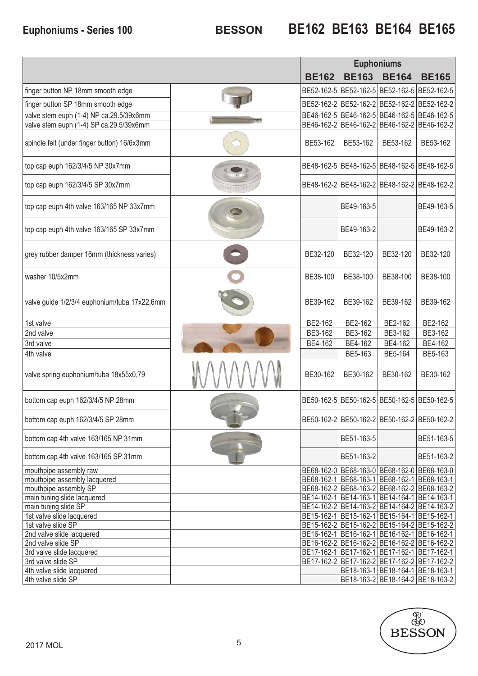### **BESSON Euphoniums - Series 100 BE162 BE163 BE164 BE165**

|                                                      |              |              | <b>Euphoniums</b>                           |                                             |
|------------------------------------------------------|--------------|--------------|---------------------------------------------|---------------------------------------------|
|                                                      | <b>BE162</b> | <b>BE163</b> | <b>BE164</b>                                | <b>BE165</b>                                |
| finger button NP 18mm smooth edge                    |              |              | BE52-162-5 BE52-162-5 BE52-162-5 BE52-162-5 |                                             |
| finger button SP 18mm smooth edge                    |              |              | BE52-162-2 BE52-162-2 BE52-162-2 BE52-162-2 |                                             |
| valve stem euph (1-4) NP ca.29.5/39x6mm              |              |              | BE46-162-5 BE46-162-5 BE46-162-5 BE46-162-5 |                                             |
| valve stem euph (1-4) SP ca.29.5/39x6mm              |              |              | BE46-162-2 BE46-162-2 BE46-162-2 BE46-162-2 |                                             |
| spindle felt (under finger button) 16/6x3mm          | BE53-162     | BE53-162     | BE53-162                                    | BE53-162                                    |
| top cap euph 162/3/4/5 NP 30x7mm                     |              |              | BE48-162-5 BE48-162-5 BE48-162-5 BE48-162-5 |                                             |
| top cap euph 162/3/4/5 SP 30x7mm                     |              |              | BE48-162-2 BE48-162-2 BE48-162-2 BE48-162-2 |                                             |
| top cap euph 4th valve 163/165 NP 33x7mm             |              | BE49-163-5   |                                             | BE49-163-5                                  |
| top cap euph 4th valve 163/165 SP 33x7mm             |              | BE49-163-2   |                                             | BE49-163-2                                  |
| grey rubber damper 16mm (thickness varies)           | BE32-120     | BE32-120     | BE32-120                                    | BE32-120                                    |
| washer 10/5x2mm                                      | BE38-100     | BE38-100     | BE38-100                                    | BE38-100                                    |
| valve guide 1/2/3/4 euphonium/tuba 17x22,6mm         | BE39-162     | BE39-162     | BE39-162                                    | BE39-162                                    |
| 1st valve                                            | BE2-162      | BE2-162      | BE2-162                                     | BE2-162                                     |
| 2nd valve                                            | BE3-162      | BE3-162      | BE3-162                                     | BE3-162                                     |
| 3rd valve                                            | BE4-162      | BE4-162      | BE4-162                                     | BE4-162                                     |
| 4th valve                                            |              | BE5-163      | BE5-164                                     | BE5-163                                     |
| valve spring euphonium/tuba 18x55x0,79               | BE30-162     | BE30-162     | BE30-162                                    | BE30-162                                    |
| bottom cap euph 162/3/4/5 NP 28mm                    |              |              | BE50-162-5 BE50-162-5 BE50-162-5 BE50-162-5 |                                             |
| bottom cap euph 162/3/4/5 SP 28mm                    |              |              | BE50-162-2 BE50-162-2 BE50-162-2 BE50-162-2 |                                             |
| bottom cap 4th valve 163/165 NP 31mm                 |              | BE51-163-5   |                                             | BE51-163-5                                  |
| bottom cap 4th valve 163/165 SP 31mm                 |              | BE51-163-2   |                                             | BE51-163-2                                  |
| mouthpipe assembly raw                               |              |              | BE68-162-0 BE68-163-0 BE68-162-0 BE68-163-0 |                                             |
| mouthpipe assembly lacquered                         |              |              | BE68-162-1 BE68-163-1 BE68-162-1 BE68-163-1 |                                             |
| mouthpipe assembly SP<br>main tuning slide lacquered |              |              | BE14-162-1 BE14-163-1 BE14-164-1 BE14-163-1 | BE68-162-2 BE68-163-2 BE68-162-2 BE68-163-2 |
| main tuning slide SP                                 |              |              |                                             | BE14-162-2 BE14-163-2 BE14-164-2 BE14-163-2 |
| 1st valve slide lacquered                            |              |              | BE15-162-1 BE15-162-1 BE15-164-1 BE15-162-1 |                                             |
| 1st valve slide SP                                   |              |              | BE15-162-2 BE15-162-2 BE15-164-2 BE15-162-2 |                                             |
| 2nd valve slide lacquered                            |              |              | BE16-162-1 BE16-162-1 BE16-162-1 BE16-162-1 |                                             |
| 2nd valve slide SP                                   |              |              | BE16-162-2 BE16-162-2 BE16-162-2 BE16-162-2 |                                             |
| 3rd valve slide lacquered                            |              |              | BE17-162-1 BE17-162-1 BE17-162-1 BE17-162-1 |                                             |
| 3rd valve slide SP                                   |              |              |                                             | BE17-162-2 BE17-162-2 BE17-162-2 BE17-162-2 |
| 4th valve slide lacquered                            |              |              |                                             | BE18-163-1 BE18-164-1 BE18-163-1            |
| 4th valve slide SP                                   |              |              |                                             | BE18-163-2 BE18-164-2 BE18-163-2            |

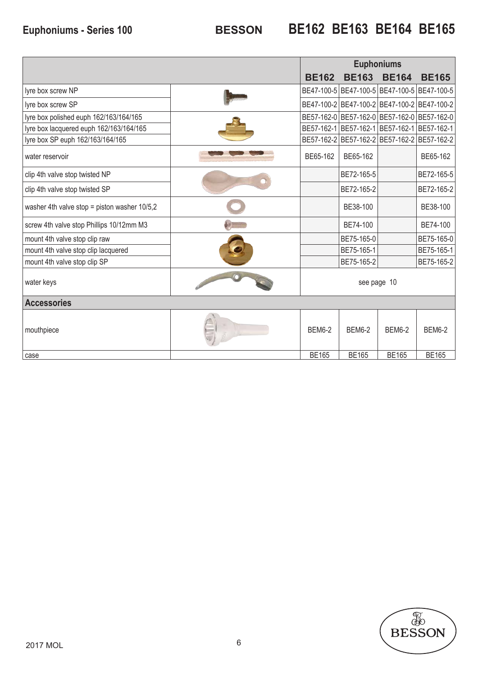### **BESSON Euphoniums - Series 100 BE162 BE163 BE164 BE165**

|                                              |               |               | <b>Euphoniums</b> |                                             |
|----------------------------------------------|---------------|---------------|-------------------|---------------------------------------------|
|                                              | <b>BE162</b>  | <b>BE163</b>  | <b>BE164</b>      | <b>BE165</b>                                |
| lyre box screw NP                            |               |               |                   | BE47-100-5 BE47-100-5 BE47-100-5 BE47-100-5 |
| lyre box screw SP                            |               |               |                   | BE47-100-2 BE47-100-2 BE47-100-2 BE47-100-2 |
| lyre box polished euph 162/163/164/165       |               |               |                   | BE57-162-0 BE57-162-0 BE57-162-0 BE57-162-0 |
| lyre box lacquered euph 162/163/164/165      |               |               |                   | BE57-162-1 BE57-162-1 BE57-162-1 BE57-162-1 |
| lyre box SP euph 162/163/164/165             |               |               |                   | BE57-162-2 BE57-162-2 BE57-162-2 BE57-162-2 |
| water reservoir                              | BE65-162      | BE65-162      |                   | BE65-162                                    |
| clip 4th valve stop twisted NP               |               | BE72-165-5    |                   | BE72-165-5                                  |
| clip 4th valve stop twisted SP               |               | BE72-165-2    |                   | BE72-165-2                                  |
| washer 4th valve stop = piston washer 10/5,2 |               | BE38-100      |                   | BE38-100                                    |
| screw 4th valve stop Phillips 10/12mm M3     |               | BE74-100      |                   | BE74-100                                    |
| mount 4th valve stop clip raw                |               | BE75-165-0    |                   | BE75-165-0                                  |
| mount 4th valve stop clip lacquered          |               | BE75-165-1    |                   | BE75-165-1                                  |
| mount 4th valve stop clip SP                 |               | BE75-165-2    |                   | BE75-165-2                                  |
| water keys                                   |               |               | see page 10       |                                             |
| <b>Accessories</b>                           |               |               |                   |                                             |
| mouthpiece                                   | <b>BEM6-2</b> | <b>BEM6-2</b> | <b>BEM6-2</b>     | <b>BEM6-2</b>                               |
| case                                         | <b>BE165</b>  | <b>BE165</b>  | <b>BE165</b>      | <b>BE165</b>                                |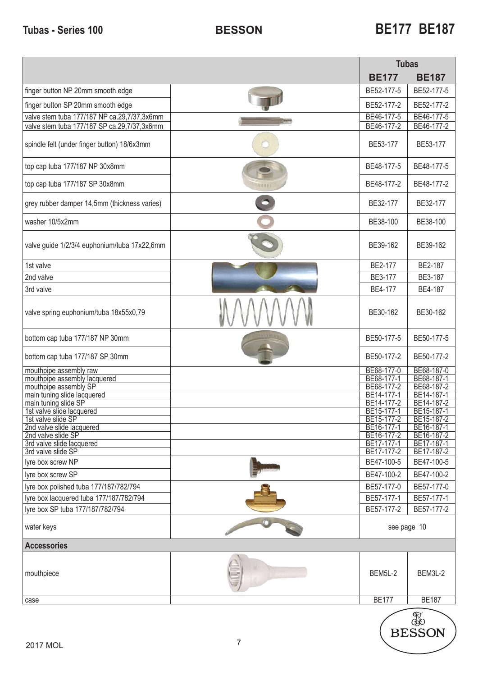|                                                        | <b>Tubas</b>             |                          |
|--------------------------------------------------------|--------------------------|--------------------------|
|                                                        | <b>BE177</b>             | <b>BE187</b>             |
| finger button NP 20mm smooth edge                      | BE52-177-5               | BE52-177-5               |
| finger button SP 20mm smooth edge                      | BE52-177-2               | BE52-177-2               |
| valve stem tuba 177/187 NP ca.29,7/37,3x6mm            | BE46-177-5               | BE46-177-5               |
| valve stem tuba 177/187 SP ca.29,7/37,3x6mm            | BE46-177-2               | BE46-177-2               |
| spindle felt (under finger button) 18/6x3mm            | BE53-177                 | BE53-177                 |
| top cap tuba 177/187 NP 30x8mm                         | BE48-177-5               | BE48-177-5               |
| top cap tuba 177/187 SP 30x8mm                         | BE48-177-2               | BE48-177-2               |
| grey rubber damper 14,5mm (thickness varies)           | BE32-177                 | BE32-177                 |
| washer 10/5x2mm                                        | BE38-100                 | BE38-100                 |
| valve guide 1/2/3/4 euphonium/tuba 17x22,6mm           | BE39-162                 | BE39-162                 |
| 1st valve                                              | BE2-177                  | BE2-187                  |
| 2nd valve                                              | BE3-177                  | BE3-187                  |
| 3rd valve                                              | BE4-177                  | BE4-187                  |
| valve spring euphonium/tuba 18x55x0,79                 | BE30-162                 | BE30-162                 |
| bottom cap tuba 177/187 NP 30mm                        | BE50-177-5               | BE50-177-5               |
| bottom cap tuba 177/187 SP 30mm                        | BE50-177-2               | BE50-177-2               |
| mouthpipe assembly raw<br>mouthpipe assembly lacquered | BE68-177-0<br>BE68-177-1 | BE68-187-0<br>BE68-187-1 |
| mouthpipe assembly SP                                  | BE68-177-2               | BE68-187-2               |
| main tuning slide lacquered                            | BE14-177-1               | BE14-187-1               |
| main tuning slide SP                                   | BE14-177-2               | BE14-187-2               |
| 1st valve slide lacquered<br>1st valve slide SP        | BE15-177-1<br>BE15-177-2 | BE15-187-1<br>BE15-187-2 |
| 2nd valve slide lacquered                              | BE16-177-1               | BE16-187-1               |
| 2nd valve slide SP                                     | BE16-177-2               | BE16-187-2               |
| 3rd valve slide lacquered                              | BE17-177-1               | BE17-187-1               |
| 3rd valve slide SP<br>Iyre box screw NP                | BE17-177-2<br>BE47-100-5 | BE17-187-2<br>BE47-100-5 |
| Iyre box screw SP                                      | BE47-100-2               | BE47-100-2               |
| lyre box polished tuba 177/187/782/794                 | BE57-177-0               | BE57-177-0               |
| Iyre box lacquered tuba 177/187/782/794                | BE57-177-1               | BE57-177-1               |
| Iyre box SP tuba 177/187/782/794                       | BE57-177-2               | BE57-177-2               |
|                                                        |                          |                          |
| water keys                                             | see page 10              |                          |
| <b>Accessories</b>                                     |                          |                          |
| mouthpiece                                             | BEM5L-2                  | BEM3L-2                  |
| case                                                   | <b>BE177</b>             | <b>BE187</b>             |
|                                                        |                          | R                        |

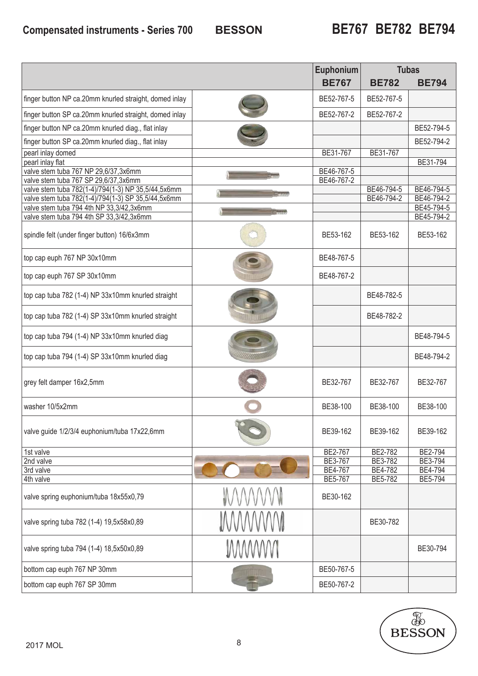### **BESSON Compensated instruments - Series 700 BE767 BE782 BE794**

|                                                                                            |              | Euphonium          | <b>Tubas</b>       |                    |
|--------------------------------------------------------------------------------------------|--------------|--------------------|--------------------|--------------------|
|                                                                                            |              | <b>BE767</b>       | <b>BE782</b>       | <b>BE794</b>       |
| finger button NP ca.20mm knurled straight, domed inlay                                     |              | BE52-767-5         | BE52-767-5         |                    |
| finger button SP ca.20mm knurled straight, domed inlay                                     |              | BE52-767-2         | BE52-767-2         |                    |
| finger button NP ca.20mm knurled diag., flat inlay                                         |              |                    |                    | BE52-794-5         |
| finger button SP ca.20mm knurled diag., flat inlay                                         |              |                    |                    | BE52-794-2         |
| pearl inlay domed<br>pearl inlay flat                                                      |              | BE31-767           | BE31-767           | BE31-794           |
| valve stem tuba 767 NP 29,6/37,3x6mm                                                       |              | BE46-767-5         |                    |                    |
| valve stem tuba 767 SP 29,6/37,3x6mm<br>valve stem tuba 782(1-4)/794(1-3) NP 35,5/44,5x6mm |              | BE46-767-2         | BE46-794-5         | BE46-794-5         |
| valve stem tuba 782(1-4)/794(1-3) SP 35,5/44,5x6mm                                         |              |                    | BE46-794-2         | BE46-794-2         |
| valve stem tuba 794 4th NP 33,3/42,3x6mm                                                   |              |                    |                    | BE45-794-5         |
| valve stem tuba 794 4th SP 33,3/42,3x6mm                                                   |              |                    |                    | BE45-794-2         |
| spindle felt (under finger button) 16/6x3mm                                                |              | BE53-162           | BE53-162           | BE53-162           |
| top cap euph 767 NP 30x10mm                                                                |              | BE48-767-5         |                    |                    |
| top cap euph 767 SP 30x10mm                                                                |              | BE48-767-2         |                    |                    |
| top cap tuba 782 (1-4) NP 33x10mm knurled straight                                         |              |                    | BE48-782-5         |                    |
| top cap tuba 782 (1-4) SP 33x10mm knurled straight                                         |              |                    | BE48-782-2         |                    |
| top cap tuba 794 (1-4) NP 33x10mm knurled diag                                             |              |                    |                    | BE48-794-5         |
| top cap tuba 794 (1-4) SP 33x10mm knurled diag                                             |              |                    |                    | BE48-794-2         |
| grey felt damper 16x2,5mm                                                                  |              | BE32-767           | BE32-767           | BE32-767           |
| washer 10/5x2mm                                                                            |              | BE38-100           | BE38-100           | BE38-100           |
| valve guide 1/2/3/4 euphonium/tuba 17x22,6mm                                               |              | BE39-162           | BE39-162           | BE39-162           |
| 1st valve                                                                                  |              | BE2-767            | BE2-782            | BE2-794            |
| 2nd valve                                                                                  |              | BE3-767            | BE3-782            | BE3-794            |
| 3rd valve<br>4th valve                                                                     |              | BE4-767<br>BE5-767 | BE4-782<br>BE5-782 | BE4-794<br>BE5-794 |
| valve spring euphonium/tuba 18x55x0,79                                                     |              | BE30-162           |                    |                    |
| valve spring tuba 782 (1-4) 19,5x58x0,89                                                   |              |                    | BE30-782           |                    |
| valve spring tuba 794 (1-4) 18,5x50x0,89                                                   | <b>MWWWW</b> |                    |                    | BE30-794           |
| bottom cap euph 767 NP 30mm                                                                |              | BE50-767-5         |                    |                    |
| bottom cap euph 767 SP 30mm                                                                |              | BE50-767-2         |                    |                    |

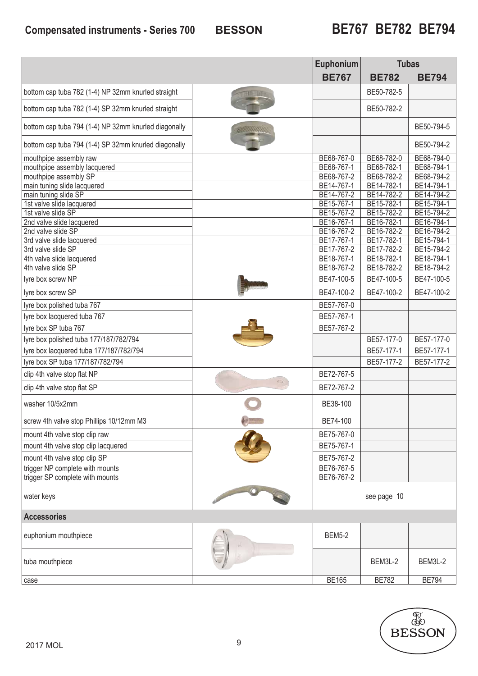### **BESSON Compensated instruments - Series 700 BE767 BE782 BE794**

|                                                      |         | Euphonium                | <b>Tubas</b>             |                          |
|------------------------------------------------------|---------|--------------------------|--------------------------|--------------------------|
|                                                      |         | <b>BE767</b>             | <b>BE782</b>             | <b>BE794</b>             |
| bottom cap tuba 782 (1-4) NP 32mm knurled straight   |         |                          | BE50-782-5               |                          |
| bottom cap tuba 782 (1-4) SP 32mm knurled straight   |         |                          | BE50-782-2               |                          |
| bottom cap tuba 794 (1-4) NP 32mm knurled diagonally |         |                          |                          | BE50-794-5               |
| bottom cap tuba 794 (1-4) SP 32mm knurled diagonally |         |                          |                          | BE50-794-2               |
| mouthpipe assembly raw                               |         | BE68-767-0               | BE68-782-0               | BE68-794-0               |
| mouthpipe assembly lacquered                         |         | BE68-767-1               | BE68-782-1               | BE68-794-1               |
| mouthpipe assembly SP                                |         | BE68-767-2               | BE68-782-2               | BE68-794-2               |
| main tuning slide lacquered                          |         | BE14-767-1               | BE14-782-1               | BE14-794-1               |
| main tuning slide SP                                 |         | BE14-767-2               | BE14-782-2               | BE14-794-2               |
| 1st valve slide lacquered                            |         | BE15-767-1               | BE15-782-1               | BE15-794-1               |
| 1st valve slide SP                                   |         | BE15-767-2               | BE15-782-2               | BE15-794-2               |
| 2nd valve slide lacquered                            |         | BE16-767-1               | BE16-782-1               | BE16-794-1               |
| 2nd valve slide SP<br>3rd valve slide lacquered      |         | BE16-767-2<br>BE17-767-1 | BE16-782-2<br>BE17-782-1 | BE16-794-2<br>BE15-794-1 |
| 3rd valve slide SP                                   |         | BE17-767-2               | BE17-782-2               | BE15-794-2               |
| 4th valve slide lacquered                            |         | BE18-767-1               | BE18-782-1               | BE18-794-1               |
| 4th valve slide SP                                   |         | BE18-767-2               | BE18-782-2               | BE18-794-2               |
| Ivre box screw NP                                    |         | BE47-100-5               | BE47-100-5               | BE47-100-5               |
| lyre box screw SP                                    |         | BE47-100-2               | BE47-100-2               | BE47-100-2               |
|                                                      |         |                          |                          |                          |
| lyre box polished tuba 767                           |         | BE57-767-0               |                          |                          |
| lyre box lacquered tuba 767                          |         | BE57-767-1               |                          |                          |
| lyre box SP tuba 767                                 |         | BE57-767-2               |                          |                          |
| lyre box polished tuba 177/187/782/794               |         |                          | BE57-177-0               | BE57-177-0               |
| lyre box lacquered tuba 177/187/782/794              |         |                          | BE57-177-1               | BE57-177-1               |
| lyre box SP tuba 177/187/782/794                     |         |                          | BE57-177-2               | BE57-177-2               |
| clip 4th valve stop flat NP                          |         | BE72-767-5               |                          |                          |
| clip 4th valve stop flat SP                          | $\odot$ | BE72-767-2               |                          |                          |
| washer 10/5x2mm                                      |         | BE38-100                 |                          |                          |
| screw 4th valve stop Phillips 10/12mm M3             |         | BE74-100                 |                          |                          |
| mount 4th valve stop clip raw                        |         | BE75-767-0               |                          |                          |
| mount 4th valve stop clip lacquered                  |         | BE75-767-1               |                          |                          |
|                                                      |         | BE75-767-2               |                          |                          |
| mount 4th valve stop clip SP                         |         |                          |                          |                          |
| trigger NP complete with mounts                      |         | BE76-767-5               |                          |                          |
| trigger SP complete with mounts                      |         | BE76-767-2               |                          |                          |
| water keys                                           |         |                          | see page 10              |                          |
| <b>Accessories</b>                                   |         |                          |                          |                          |
| euphonium mouthpiece                                 |         | <b>BEM5-2</b>            |                          |                          |
| tuba mouthpiece                                      |         |                          | BEM3L-2                  | BEM3L-2                  |
| case                                                 |         | <b>BE165</b>             | <b>BE782</b>             | <b>BE794</b>             |

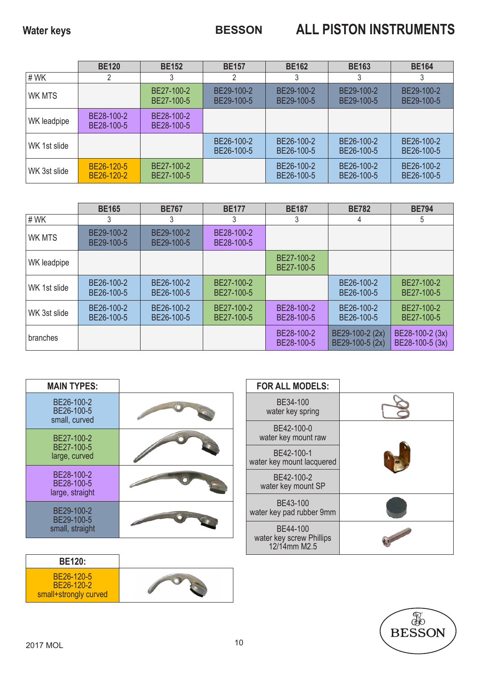|              | <b>BE120</b>             | <b>BE152</b>             | <b>BE157</b>             | <b>BE162</b>             | <b>BE163</b>             | <b>BE164</b>             |
|--------------|--------------------------|--------------------------|--------------------------|--------------------------|--------------------------|--------------------------|
| #WK          | 2                        |                          | 2                        |                          | 3                        |                          |
| WK MTS       |                          | BE27-100-2<br>BE27-100-5 | BE29-100-2<br>BE29-100-5 | BE29-100-2<br>BE29-100-5 | BE29-100-2<br>BE29-100-5 | BE29-100-2<br>BE29-100-5 |
| WK leadpipe  | BE28-100-2<br>BE28-100-5 | BE28-100-2<br>BE28-100-5 |                          |                          |                          |                          |
| WK 1st slide |                          |                          | BE26-100-2<br>BE26-100-5 | BE26-100-2<br>BE26-100-5 | BE26-100-2<br>BE26-100-5 | BE26-100-2<br>BE26-100-5 |
| WK 3st slide | BE26-120-5<br>BE26-120-2 | BE27-100-2<br>BE27-100-5 |                          | BE26-100-2<br>BE26-100-5 | BE26-100-2<br>BE26-100-5 | BE26-100-2<br>BE26-100-5 |

|               | <b>BE165</b>             | <b>BE767</b>             | <b>BE177</b>             | <b>BE187</b>             | <b>BE782</b>                       | <b>BE794</b>                       |
|---------------|--------------------------|--------------------------|--------------------------|--------------------------|------------------------------------|------------------------------------|
| #WK           | 3                        | 3                        | 3                        | 3                        | 4                                  | 5                                  |
| <b>WK MTS</b> | BE29-100-2<br>BE29-100-5 | BE29-100-2<br>BE29-100-5 | BE28-100-2<br>BE28-100-5 |                          |                                    |                                    |
| WK leadpipe   |                          |                          |                          | BE27-100-2<br>BE27-100-5 |                                    |                                    |
| WK 1st slide  | BE26-100-2<br>BE26-100-5 | BE26-100-2<br>BE26-100-5 | BE27-100-2<br>BE27-100-5 |                          | BE26-100-2<br>BE26-100-5           | BE27-100-2<br>BE27-100-5           |
| WK 3st slide  | BE26-100-2<br>BE26-100-5 | BE26-100-2<br>BE26-100-5 | BE27-100-2<br>BE27-100-5 | BE28-100-2<br>BE28-100-5 | BE26-100-2<br>BE26-100-5           | BE27-100-2<br>BE27-100-5           |
| branches      |                          |                          |                          | BE28-100-2<br>BE28-100-5 | BE29-100-2 (2x)<br>BE29-100-5 (2x) | BE28-100-2 (3x)<br>BE28-100-5 (3x) |

| <b>MAIN TYPES:</b>                          | <b>FOR ALL MODELS:</b>                               |  |
|---------------------------------------------|------------------------------------------------------|--|
| BE26-100-2<br>BE26-100-5<br>small, curved   | BE34-100<br>water key spring                         |  |
| BE27-100-2                                  | BE42-100-0<br>water key mount raw                    |  |
| BE27-100-5<br>large, curved                 | BE42-100-1<br>water key mount lacquered              |  |
| BE28-100-2<br>BE28-100-5<br>large, straight | BE42-100-2<br>water key mount SP                     |  |
| BE29-100-2<br>BE29-100-5                    | BE43-100<br>water key pad rubber 9mm                 |  |
| small, straight                             | BE44-100<br>water key screw Phillips<br>12/14mm M2.5 |  |

| <b>BE120:</b>                                     |  |
|---------------------------------------------------|--|
| BE26-120-5<br>BE26-120-2<br>small+strongly curved |  |

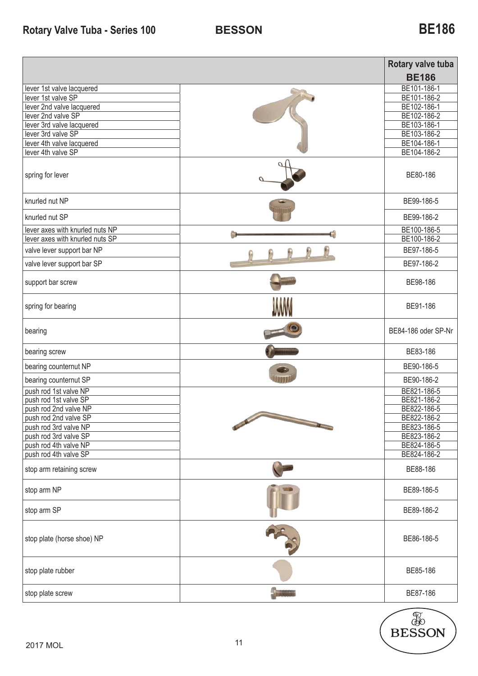### **Rotary Valve Tuba - Series 100**

|                                                 |                                                                                                                                                                                                                                              | Rotary valve tuba<br><b>BE186</b> |
|-------------------------------------------------|----------------------------------------------------------------------------------------------------------------------------------------------------------------------------------------------------------------------------------------------|-----------------------------------|
| lever 1st valve lacquered                       |                                                                                                                                                                                                                                              | BE101-186-1                       |
| lever 1st valve SP                              |                                                                                                                                                                                                                                              | BE101-186-2<br>BE102-186-1        |
| lever 2nd valve lacquered<br>lever 2nd valve SP |                                                                                                                                                                                                                                              | BE102-186-2                       |
| lever 3rd valve lacquered                       |                                                                                                                                                                                                                                              | BE103-186-1                       |
| lever 3rd valve SP                              |                                                                                                                                                                                                                                              | BE103-186-2                       |
| lever 4th valve lacquered                       |                                                                                                                                                                                                                                              | BE104-186-1                       |
| lever 4th valve SP                              |                                                                                                                                                                                                                                              | BE104-186-2                       |
| spring for lever                                |                                                                                                                                                                                                                                              | BE80-186                          |
| knurled nut NP                                  |                                                                                                                                                                                                                                              | BE99-186-5                        |
| knurled nut SP                                  |                                                                                                                                                                                                                                              | BE99-186-2                        |
| lever axes with knurled nuts NP                 |                                                                                                                                                                                                                                              | BE100-186-5                       |
| lever axes with knurled nuts SP                 |                                                                                                                                                                                                                                              | BE100-186-2                       |
| valve lever support bar NP                      |                                                                                                                                                                                                                                              | BE97-186-5                        |
| valve lever support bar SP                      |                                                                                                                                                                                                                                              | BE97-186-2                        |
| support bar screw                               |                                                                                                                                                                                                                                              | BE98-186                          |
| spring for bearing                              |                                                                                                                                                                                                                                              | BE91-186                          |
| bearing                                         |                                                                                                                                                                                                                                              | BE84-186 oder SP-Nr               |
| bearing screw                                   |                                                                                                                                                                                                                                              | BE83-186                          |
| bearing counternut NP                           |                                                                                                                                                                                                                                              | BE90-186-5                        |
| bearing counternut SP                           |                                                                                                                                                                                                                                              | BE90-186-2                        |
| push rod 1st valve NP                           |                                                                                                                                                                                                                                              | BE821-186-5                       |
| push rod 1st valve SP                           |                                                                                                                                                                                                                                              | BE821-186-2                       |
| push rod 2nd valve NP                           |                                                                                                                                                                                                                                              | BE822-186-5                       |
| push rod 2nd valve SP                           | and it was<br>and the state of the local division in the local division in the local division in the local division in the local division in the local division in the local division in the local division in the local division in the loc | BE822-186-2                       |
| push rod 3rd valve NP<br>push rod 3rd valve SP  |                                                                                                                                                                                                                                              | BE823-186-5<br>BE823-186-2        |
| push rod 4th valve NP                           |                                                                                                                                                                                                                                              | BE824-186-5                       |
| push rod 4th valve SP                           |                                                                                                                                                                                                                                              | BE824-186-2                       |
| stop arm retaining screw                        |                                                                                                                                                                                                                                              | BE88-186                          |
| stop arm NP                                     |                                                                                                                                                                                                                                              | BE89-186-5                        |
| stop arm SP                                     |                                                                                                                                                                                                                                              | BE89-186-2                        |
| stop plate (horse shoe) NP                      |                                                                                                                                                                                                                                              | BE86-186-5                        |
| stop plate rubber                               |                                                                                                                                                                                                                                              | BE85-186                          |
| stop plate screw                                |                                                                                                                                                                                                                                              | BE87-186                          |

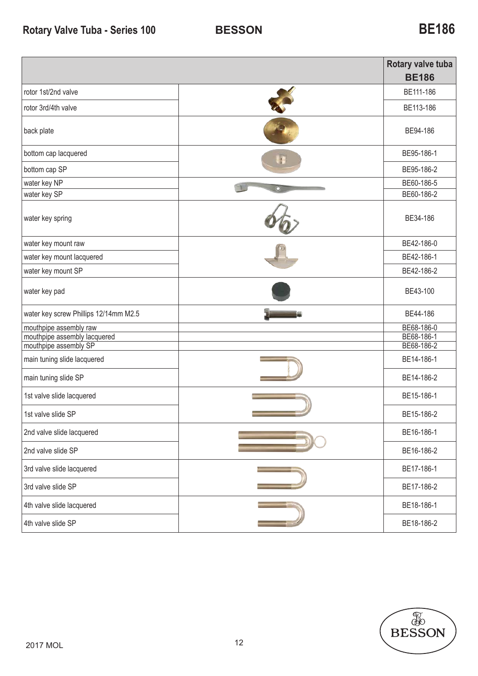|                                                       |    | Rotary valve tuba<br><b>BE186</b> |
|-------------------------------------------------------|----|-----------------------------------|
| rotor 1st/2nd valve                                   |    | BE111-186                         |
| rotor 3rd/4th valve                                   |    |                                   |
| back plate                                            |    | BE94-186                          |
| bottom cap lacquered                                  | L. | BE95-186-1                        |
| bottom cap SP                                         |    | BE95-186-2                        |
| water key NP                                          |    | BE60-186-5                        |
| water key SP                                          |    | BE60-186-2                        |
| water key spring                                      |    | BE34-186                          |
| water key mount raw                                   |    | BE42-186-0                        |
| water key mount lacquered                             |    | BE42-186-1                        |
| water key mount SP                                    |    | BE42-186-2                        |
| water key pad                                         |    | BE43-100                          |
| water key screw Phillips 12/14mm M2.5                 |    | BE44-186                          |
| mouthpipe assembly raw                                |    | BE68-186-0                        |
| mouthpipe assembly lacquered<br>mouthpipe assembly SP |    | BE68-186-1<br>BE68-186-2          |
|                                                       |    |                                   |
| main tuning slide lacquered                           |    | BE14-186-1                        |
| main tuning slide SP                                  |    | BE14-186-2                        |
| 1st valve slide lacquered                             |    | BE15-186-1                        |
| 1st valve slide SP                                    |    | BE15-186-2                        |
| 2nd valve slide lacquered                             |    | BE16-186-1                        |
| 2nd valve slide SP                                    |    | BE16-186-2                        |
| 3rd valve slide lacquered                             |    | BE17-186-1                        |
| 3rd valve slide SP                                    |    | BE17-186-2                        |
| 4th valve slide lacquered                             |    | BE18-186-1                        |
| 4th valve slide SP                                    |    | BE18-186-2                        |

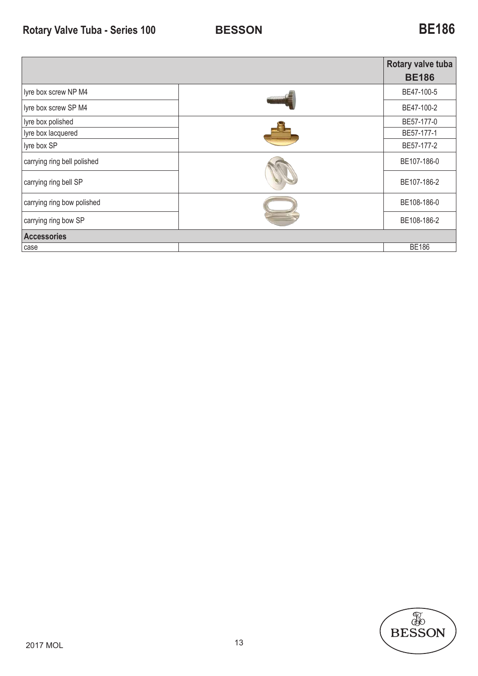|                             |  | Rotary valve tuba |  |  |
|-----------------------------|--|-------------------|--|--|
|                             |  | <b>BE186</b>      |  |  |
| lyre box screw NP M4        |  | BE47-100-5        |  |  |
| lyre box screw SP M4        |  | BE47-100-2        |  |  |
| lyre box polished           |  | BE57-177-0        |  |  |
| lyre box lacquered          |  | BE57-177-1        |  |  |
| lyre box SP                 |  | BE57-177-2        |  |  |
| carrying ring bell polished |  | BE107-186-0       |  |  |
| carrying ring bell SP       |  | BE107-186-2       |  |  |
| carrying ring bow polished  |  | BE108-186-0       |  |  |
| carrying ring bow SP        |  | BE108-186-2       |  |  |
| <b>Accessories</b>          |  |                   |  |  |
| case                        |  | <b>BE186</b>      |  |  |

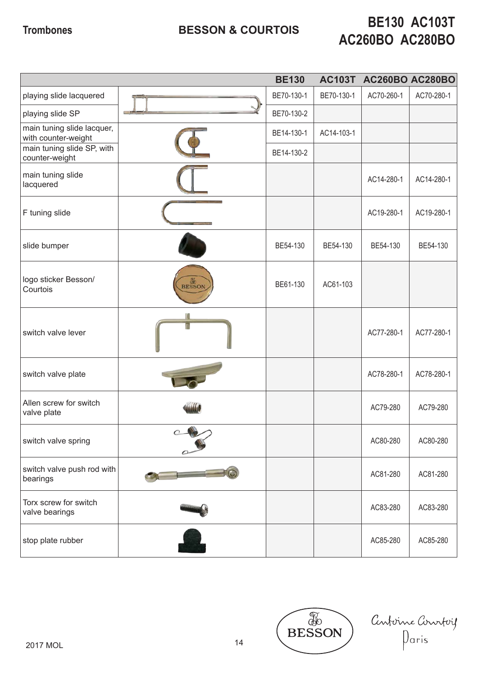# **Trombones BESSON & COURTOIS BE130 AC103T AC260BO AC280BO**

|                                                   |                                                                                                                                                                                                                                      | <b>BE130</b> | <b>AC103T</b> | <b>AC260BO AC280BO</b> |            |
|---------------------------------------------------|--------------------------------------------------------------------------------------------------------------------------------------------------------------------------------------------------------------------------------------|--------------|---------------|------------------------|------------|
| playing slide lacquered                           |                                                                                                                                                                                                                                      | BE70-130-1   | BE70-130-1    | AC70-260-1             | AC70-280-1 |
| playing slide SP                                  |                                                                                                                                                                                                                                      | BE70-130-2   |               |                        |            |
| main tuning slide lacquer,<br>with counter-weight |                                                                                                                                                                                                                                      | BE14-130-1   | AC14-103-1    |                        |            |
| main tuning slide SP, with<br>counter-weight      |                                                                                                                                                                                                                                      | BE14-130-2   |               |                        |            |
| main tuning slide<br>lacquered                    |                                                                                                                                                                                                                                      |              |               | AC14-280-1             | AC14-280-1 |
| F tuning slide                                    |                                                                                                                                                                                                                                      |              |               | AC19-280-1             | AC19-280-1 |
| slide bumper                                      |                                                                                                                                                                                                                                      | BE54-130     | BE54-130      | BE54-130               | BE54-130   |
| logo sticker Besson/<br>Courtois                  | <b>E</b><br>BESSON                                                                                                                                                                                                                   | BE61-130     | AC61-103      |                        |            |
| switch valve lever                                |                                                                                                                                                                                                                                      |              |               | AC77-280-1             | AC77-280-1 |
| switch valve plate                                |                                                                                                                                                                                                                                      |              |               | AC78-280-1             | AC78-280-1 |
| Allen screw for switch<br>valve plate             |                                                                                                                                                                                                                                      |              |               | AC79-280               | AC79-280   |
| switch valve spring                               | $\cap$                                                                                                                                                                                                                               |              |               | AC80-280               | AC80-280   |
| switch valve push rod with<br>bearings            | <u> The Company of the Company of the Company of the Company of the Company of the Company of the Company of the Company of the Company of the Company of the Company of the Company of the Company of the Company of the Compan</u> |              |               | AC81-280               | AC81-280   |
| Torx screw for switch<br>valve bearings           |                                                                                                                                                                                                                                      |              |               | AC83-280               | AC83-280   |
| stop plate rubber                                 |                                                                                                                                                                                                                                      |              |               | AC85-280               | AC85-280   |

**EXECUTE** Centerne Conrteif<br>Daris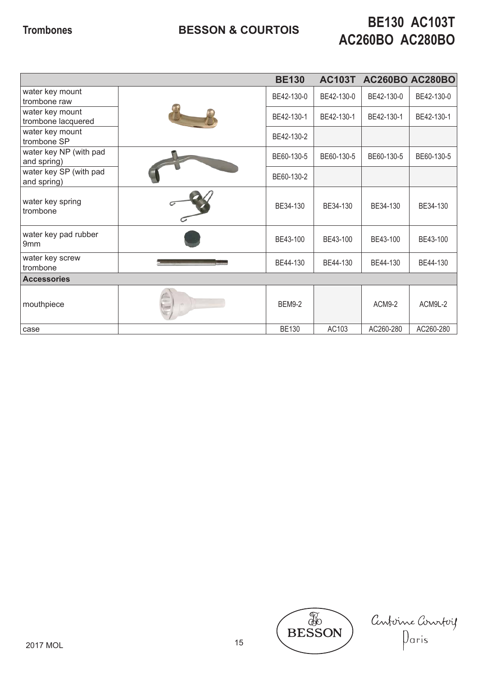## **BESSON & COURTOIS Trombones BE130 AC103T AC260BO AC280BO**

|                                         |  | <b>BE130</b>  | <b>AC103T</b> |            | <b>AC260BO AC280BO</b> |
|-----------------------------------------|--|---------------|---------------|------------|------------------------|
| water key mount<br>trombone raw         |  | BE42-130-0    | BE42-130-0    | BE42-130-0 | BE42-130-0             |
| water key mount<br>trombone lacquered   |  | BE42-130-1    | BE42-130-1    | BE42-130-1 | BE42-130-1             |
| water key mount<br>trombone SP          |  | BE42-130-2    |               |            |                        |
| water key NP (with pad<br>and spring)   |  | BE60-130-5    | BE60-130-5    | BE60-130-5 | BE60-130-5             |
| water key SP (with pad<br>and spring)   |  | BE60-130-2    |               |            |                        |
| water key spring<br>trombone            |  | BE34-130      | BE34-130      | BE34-130   | BE34-130               |
| water key pad rubber<br>9 <sub>mm</sub> |  | BE43-100      | BE43-100      | BE43-100   | BE43-100               |
| water key screw<br>trombone             |  | BE44-130      | BE44-130      | BE44-130   | BE44-130               |
| <b>Accessories</b>                      |  |               |               |            |                        |
| mouthpiece                              |  | <b>BEM9-2</b> |               | ACM9-2     | ACM9L-2                |
| case                                    |  | <b>BE130</b>  | AC103         | AC260-280  | AC260-280              |



Confoine Connfois